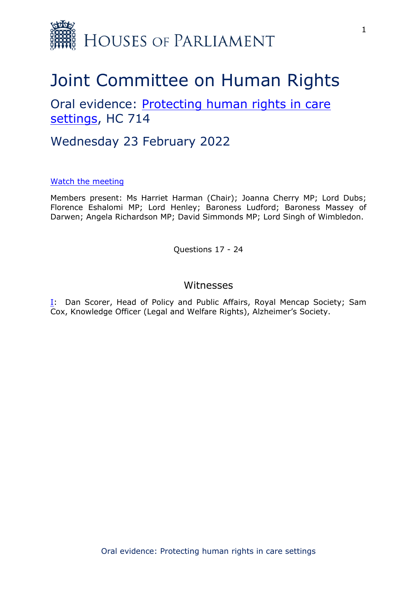

# Joint Committee on Human Rights

Oral evidence: [Protecting](https://committees.parliament.uk/work/1495/protecting-human-rights-in-care-settings/) [human](https://committees.parliament.uk/work/1495/protecting-human-rights-in-care-settings/) [rights](https://committees.parliament.uk/work/1495/protecting-human-rights-in-care-settings/) [in](https://committees.parliament.uk/work/1495/protecting-human-rights-in-care-settings/) [care](https://committees.parliament.uk/work/1495/protecting-human-rights-in-care-settings/) [settings](https://committees.parliament.uk/work/1495/protecting-human-rights-in-care-settings/), HC 714

# Wednesday 23 February 2022

#### [Watch](https://parliamentlive.tv/event/index/dd9f7454-4672-4ac7-b070-0ed9d2b26f14) [the](https://parliamentlive.tv/event/index/dd9f7454-4672-4ac7-b070-0ed9d2b26f14) [meeting](https://parliamentlive.tv/event/index/dd9f7454-4672-4ac7-b070-0ed9d2b26f14)

Members present: Ms Harriet Harman (Chair); Joanna Cherry MP; Lord Dubs; Florence Eshalomi MP; Lord Henley; Baroness Ludford; Baroness Massey of Darwen; Angela Richardson MP; David Simmonds MP; Lord Singh of Wimbledon.

Questions 17 - 24

### <span id="page-0-0"></span>Witnesses

[I:](#page-0-0) Dan Scorer, Head of Policy and Public Affairs, Royal Mencap Society; Sam Cox, Knowledge Officer (Legal and Welfare Rights), Alzheimer's Society.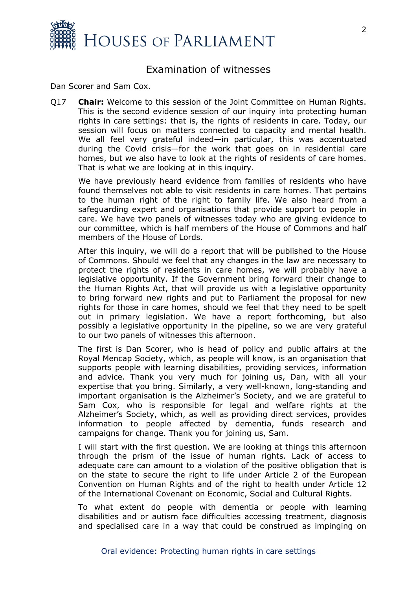

## Examination of witnesses

Dan Scorer and Sam Cox.

Q17 **Chair:** Welcome to this session of the Joint Committee on Human Rights. This is the second evidence session of our inquiry into protecting human rights in care settings: that is, the rights of residents in care. Today, our session will focus on matters connected to capacity and mental health. We all feel very grateful indeed—in particular, this was accentuated during the Covid crisis—for the work that goes on in residential care homes, but we also have to look at the rights of residents of care homes. That is what we are looking at in this inquiry.

We have previously heard evidence from families of residents who have found themselves not able to visit residents in care homes. That pertains to the human right of the right to family life. We also heard from a safeguarding expert and organisations that provide support to people in care. We have two panels of witnesses today who are giving evidence to our committee, which is half members of the House of Commons and half members of the House of Lords.

After this inquiry, we will do a report that will be published to the House of Commons. Should we feel that any changes in the law are necessary to protect the rights of residents in care homes, we will probably have a legislative opportunity. If the Government bring forward their change to the Human Rights Act, that will provide us with a legislative opportunity to bring forward new rights and put to Parliament the proposal for new rights for those in care homes, should we feel that they need to be spelt out in primary legislation. We have a report forthcoming, but also possibly a legislative opportunity in the pipeline, so we are very grateful to our two panels of witnesses this afternoon.

The first is Dan Scorer, who is head of policy and public affairs at the Royal Mencap Society, which, as people will know, is an organisation that supports people with learning disabilities, providing services, information and advice. Thank you very much for joining us, Dan, with all your expertise that you bring. Similarly, a very well-known, long-standing and important organisation is the Alzheimer's Society, and we are grateful to Sam Cox, who is responsible for legal and welfare rights at the Alzheimer's Society, which, as well as providing direct services, provides information to people affected by dementia, funds research and campaigns for change. Thank you for joining us, Sam.

I will start with the first question. We are looking at things this afternoon through the prism of the issue of human rights. Lack of access to adequate care can amount to a violation of the positive obligation that is on the state to secure the right to life under Article 2 of the European Convention on Human Rights and of the right to health under Article 12 of the International Covenant on Economic, Social and Cultural Rights.

To what extent do people with dementia or people with learning disabilities and or autism face difficulties accessing treatment, diagnosis and specialised care in a way that could be construed as impinging on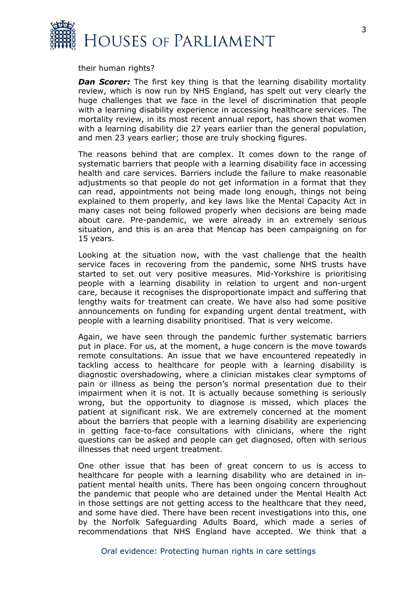

their human rights?

*Dan Scorer:* The first key thing is that the learning disability mortality review, which is now run by NHS England, has spelt out very clearly the huge challenges that we face in the level of discrimination that people with a learning disability experience in accessing healthcare services. The mortality review, in its most recent annual report, has shown that women with a learning disability die 27 years earlier than the general population, and men 23 years earlier; those are truly shocking figures.

The reasons behind that are complex. It comes down to the range of systematic barriers that people with a learning disability face in accessing health and care services. Barriers include the failure to make reasonable adjustments so that people do not get information in a format that they can read, appointments not being made long enough, things not being explained to them properly, and key laws like the Mental Capacity Act in many cases not being followed properly when decisions are being made about care. Pre-pandemic, we were already in an extremely serious situation, and this is an area that Mencap has been campaigning on for 15 years.

Looking at the situation now, with the vast challenge that the health service faces in recovering from the pandemic, some NHS trusts have started to set out very positive measures. Mid-Yorkshire is prioritising people with a learning disability in relation to urgent and non-urgent care, because it recognises the disproportionate impact and suffering that lengthy waits for treatment can create. We have also had some positive announcements on funding for expanding urgent dental treatment, with people with a learning disability prioritised. That is very welcome.

Again, we have seen through the pandemic further systematic barriers put in place. For us, at the moment, a huge concern is the move towards remote consultations. An issue that we have encountered repeatedly in tackling access to healthcare for people with a learning disability is diagnostic overshadowing, where a clinician mistakes clear symptoms of pain or illness as being the person's normal presentation due to their impairment when it is not. It is actually because something is seriously wrong, but the opportunity to diagnose is missed, which places the patient at significant risk. We are extremely concerned at the moment about the barriers that people with a learning disability are experiencing in getting face-to-face consultations with clinicians, where the right questions can be asked and people can get diagnosed, often with serious illnesses that need urgent treatment.

One other issue that has been of great concern to us is access to healthcare for people with a learning disability who are detained in inpatient mental health units. There has been ongoing concern throughout the pandemic that people who are detained under the Mental Health Act in those settings are not getting access to the healthcare that they need, and some have died. There have been recent investigations into this, one by the Norfolk Safeguarding Adults Board, which made a series of recommendations that NHS England have accepted. We think that a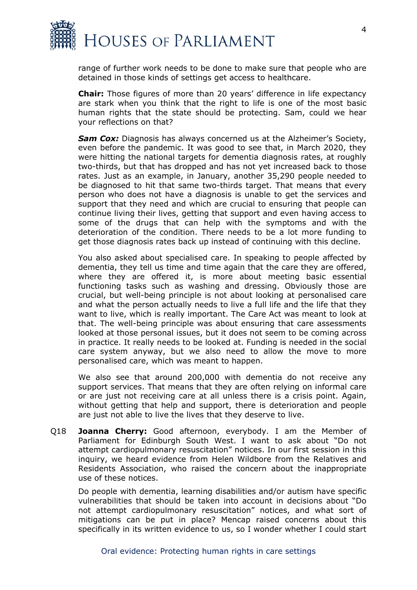

range of further work needs to be done to make sure that people who are detained in those kinds of settings get access to healthcare.

**Chair:** Those figures of more than 20 years' difference in life expectancy are stark when you think that the right to life is one of the most basic human rights that the state should be protecting. Sam, could we hear your reflections on that?

*Sam Cox:* Diagnosis has always concerned us at the Alzheimer's Society, even before the pandemic. It was good to see that, in March 2020, they were hitting the national targets for dementia diagnosis rates, at roughly two-thirds, but that has dropped and has not yet increased back to those rates. Just as an example, in January, another 35,290 people needed to be diagnosed to hit that same two-thirds target. That means that every person who does not have a diagnosis is unable to get the services and support that they need and which are crucial to ensuring that people can continue living their lives, getting that support and even having access to some of the drugs that can help with the symptoms and with the deterioration of the condition. There needs to be a lot more funding to get those diagnosis rates back up instead of continuing with this decline.

You also asked about specialised care. In speaking to people affected by dementia, they tell us time and time again that the care they are offered, where they are offered it, is more about meeting basic essential functioning tasks such as washing and dressing. Obviously those are crucial, but well-being principle is not about looking at personalised care and what the person actually needs to live a full life and the life that they want to live, which is really important. The Care Act was meant to look at that. The well-being principle was about ensuring that care assessments looked at those personal issues, but it does not seem to be coming across in practice. It really needs to be looked at. Funding is needed in the social care system anyway, but we also need to allow the move to more personalised care, which was meant to happen.

We also see that around 200,000 with dementia do not receive any support services. That means that they are often relying on informal care or are just not receiving care at all unless there is a crisis point. Again, without getting that help and support, there is deterioration and people are just not able to live the lives that they deserve to live.

Q18 **Joanna Cherry:** Good afternoon, everybody. I am the Member of Parliament for Edinburgh South West. I want to ask about "Do not attempt cardiopulmonary resuscitation" notices. In our first session in this inquiry, we heard evidence from Helen Wildbore from the Relatives and Residents Association, who raised the concern about the inappropriate use of these notices.

Do people with dementia, learning disabilities and/or autism have specific vulnerabilities that should be taken into account in decisions about "Do not attempt cardiopulmonary resuscitation" notices, and what sort of mitigations can be put in place? Mencap raised concerns about this specifically in its written evidence to us, so I wonder whether I could start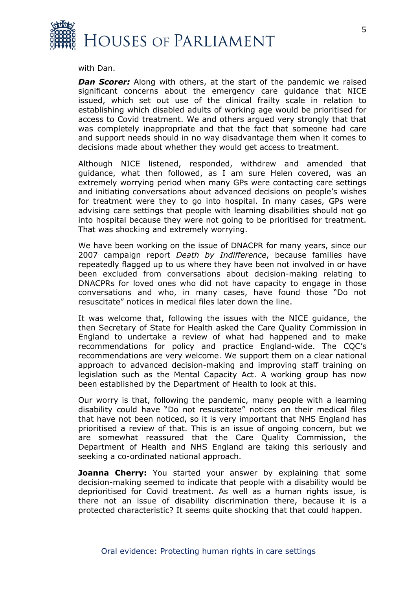

with Dan.

**Dan Scorer:** Along with others, at the start of the pandemic we raised significant concerns about the emergency care guidance that NICE issued, which set out use of the clinical frailty scale in relation to establishing which disabled adults of working age would be prioritised for access to Covid treatment. We and others argued very strongly that that was completely inappropriate and that the fact that someone had care and support needs should in no way disadvantage them when it comes to decisions made about whether they would get access to treatment.

Although NICE listened, responded, withdrew and amended that guidance, what then followed, as I am sure Helen covered, was an extremely worrying period when many GPs were contacting care settings and initiating conversations about advanced decisions on people's wishes for treatment were they to go into hospital. In many cases, GPs were advising care settings that people with learning disabilities should not go into hospital because they were not going to be prioritised for treatment. That was shocking and extremely worrying.

We have been working on the issue of DNACPR for many years, since our 2007 campaign report *Death by Indifference*, because families have repeatedly flagged up to us where they have been not involved in or have been excluded from conversations about decision-making relating to DNACPRs for loved ones who did not have capacity to engage in those conversations and who, in many cases, have found those "Do not resuscitate" notices in medical files later down the line.

It was welcome that, following the issues with the NICE guidance, the then Secretary of State for Health asked the Care Quality Commission in England to undertake a review of what had happened and to make recommendations for policy and practice England-wide. The CQC's recommendations are very welcome. We support them on a clear national approach to advanced decision-making and improving staff training on legislation such as the Mental Capacity Act. A working group has now been established by the Department of Health to look at this.

Our worry is that, following the pandemic, many people with a learning disability could have "Do not resuscitate" notices on their medical files that have not been noticed, so it is very important that NHS England has prioritised a review of that. This is an issue of ongoing concern, but we are somewhat reassured that the Care Quality Commission, the Department of Health and NHS England are taking this seriously and seeking a co-ordinated national approach.

**Joanna Cherry:** You started your answer by explaining that some decision-making seemed to indicate that people with a disability would be deprioritised for Covid treatment. As well as a human rights issue, is there not an issue of disability discrimination there, because it is a protected characteristic? It seems quite shocking that that could happen.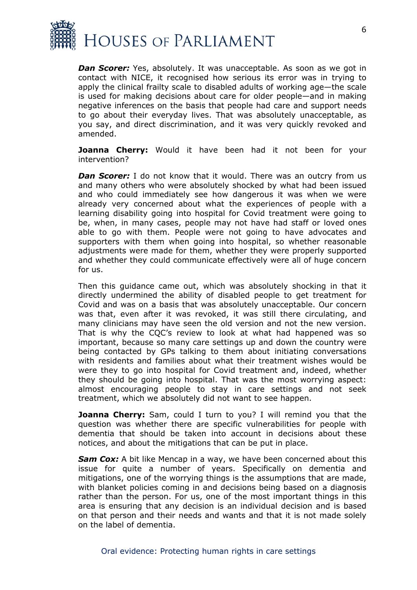

*Dan Scorer:* Yes, absolutely. It was unacceptable. As soon as we got in contact with NICE, it recognised how serious its error was in trying to apply the clinical frailty scale to disabled adults of working age—the scale is used for making decisions about care for older people—and in making negative inferences on the basis that people had care and support needs to go about their everyday lives. That was absolutely unacceptable, as you say, and direct discrimination, and it was very quickly revoked and amended.

**Joanna Cherry:** Would it have been had it not been for your intervention?

**Dan Scorer:** I do not know that it would. There was an outcry from us and many others who were absolutely shocked by what had been issued and who could immediately see how dangerous it was when we were already very concerned about what the experiences of people with a learning disability going into hospital for Covid treatment were going to be, when, in many cases, people may not have had staff or loved ones able to go with them. People were not going to have advocates and supporters with them when going into hospital, so whether reasonable adjustments were made for them, whether they were properly supported and whether they could communicate effectively were all of huge concern for us.

Then this guidance came out, which was absolutely shocking in that it directly undermined the ability of disabled people to get treatment for Covid and was on a basis that was absolutely unacceptable. Our concern was that, even after it was revoked, it was still there circulating, and many clinicians may have seen the old version and not the new version. That is why the CQC's review to look at what had happened was so important, because so many care settings up and down the country were being contacted by GPs talking to them about initiating conversations with residents and families about what their treatment wishes would be were they to go into hospital for Covid treatment and, indeed, whether they should be going into hospital. That was the most worrying aspect: almost encouraging people to stay in care settings and not seek treatment, which we absolutely did not want to see happen.

**Joanna Cherry:** Sam, could I turn to you? I will remind you that the question was whether there are specific vulnerabilities for people with dementia that should be taken into account in decisions about these notices, and about the mitigations that can be put in place.

**Sam Cox:** A bit like Mencap in a way, we have been concerned about this issue for quite a number of years. Specifically on dementia and mitigations, one of the worrying things is the assumptions that are made, with blanket policies coming in and decisions being based on a diagnosis rather than the person. For us, one of the most important things in this area is ensuring that any decision is an individual decision and is based on that person and their needs and wants and that it is not made solely on the label of dementia.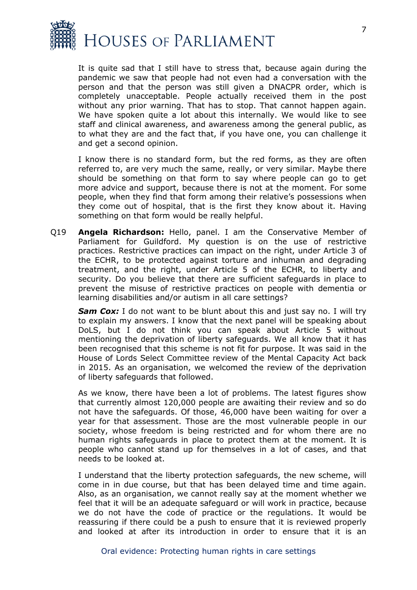

It is quite sad that I still have to stress that, because again during the pandemic we saw that people had not even had a conversation with the person and that the person was still given a DNACPR order, which is completely unacceptable. People actually received them in the post without any prior warning. That has to stop. That cannot happen again. We have spoken quite a lot about this internally. We would like to see staff and clinical awareness, and awareness among the general public, as to what they are and the fact that, if you have one, you can challenge it and get a second opinion.

I know there is no standard form, but the red forms, as they are often referred to, are very much the same, really, or very similar. Maybe there should be something on that form to say where people can go to get more advice and support, because there is not at the moment. For some people, when they find that form among their relative's possessions when they come out of hospital, that is the first they know about it. Having something on that form would be really helpful.

Q19 **Angela Richardson:** Hello, panel. I am the Conservative Member of Parliament for Guildford. My question is on the use of restrictive practices. Restrictive practices can impact on the right, under Article 3 of the ECHR, to be protected against torture and inhuman and degrading treatment, and the right, under Article 5 of the ECHR, to liberty and security. Do you believe that there are sufficient safeguards in place to prevent the misuse of restrictive practices on people with dementia or learning disabilities and/or autism in all care settings?

**Sam Cox:** I do not want to be blunt about this and just say no. I will try to explain my answers. I know that the next panel will be speaking about DoLS, but I do not think you can speak about Article 5 without mentioning the deprivation of liberty safeguards. We all know that it has been recognised that this scheme is not fit for purpose. It was said in the House of Lords Select Committee review of the Mental Capacity Act back in 2015. As an organisation, we welcomed the review of the deprivation of liberty safeguards that followed.

As we know, there have been a lot of problems. The latest figures show that currently almost 120,000 people are awaiting their review and so do not have the safeguards. Of those, 46,000 have been waiting for over a year for that assessment. Those are the most vulnerable people in our society, whose freedom is being restricted and for whom there are no human rights safeguards in place to protect them at the moment. It is people who cannot stand up for themselves in a lot of cases, and that needs to be looked at.

I understand that the liberty protection safeguards, the new scheme, will come in in due course, but that has been delayed time and time again. Also, as an organisation, we cannot really say at the moment whether we feel that it will be an adequate safeguard or will work in practice, because we do not have the code of practice or the regulations. It would be reassuring if there could be a push to ensure that it is reviewed properly and looked at after its introduction in order to ensure that it is an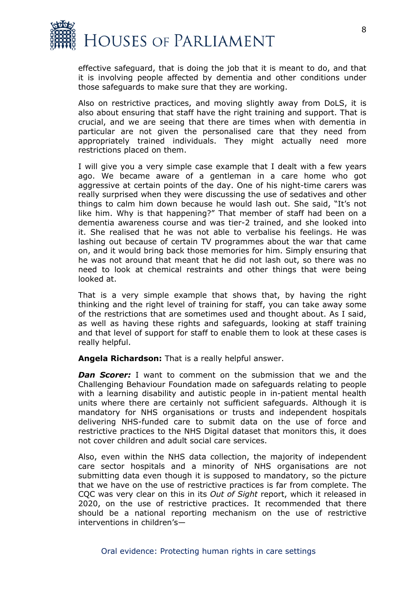

effective safeguard, that is doing the job that it is meant to do, and that it is involving people affected by dementia and other conditions under those safeguards to make sure that they are working.

Also on restrictive practices, and moving slightly away from DoLS, it is also about ensuring that staff have the right training and support. That is crucial, and we are seeing that there are times when with dementia in particular are not given the personalised care that they need from appropriately trained individuals. They might actually need more restrictions placed on them.

I will give you a very simple case example that I dealt with a few years ago. We became aware of a gentleman in a care home who got aggressive at certain points of the day. One of his night-time carers was really surprised when they were discussing the use of sedatives and other things to calm him down because he would lash out. She said, "It's not like him. Why is that happening?" That member of staff had been on a dementia awareness course and was tier-2 trained, and she looked into it. She realised that he was not able to verbalise his feelings. He was lashing out because of certain TV programmes about the war that came on, and it would bring back those memories for him. Simply ensuring that he was not around that meant that he did not lash out, so there was no need to look at chemical restraints and other things that were being looked at.

That is a very simple example that shows that, by having the right thinking and the right level of training for staff, you can take away some of the restrictions that are sometimes used and thought about. As I said, as well as having these rights and safeguards, looking at staff training and that level of support for staff to enable them to look at these cases is really helpful.

**Angela Richardson:** That is a really helpful answer.

*Dan Scorer:* I want to comment on the submission that we and the Challenging Behaviour Foundation made on safeguards relating to people with a learning disability and autistic people in in-patient mental health units where there are certainly not sufficient safeguards. Although it is mandatory for NHS organisations or trusts and independent hospitals delivering NHS-funded care to submit data on the use of force and restrictive practices to the NHS Digital dataset that monitors this, it does not cover children and adult social care services.

Also, even within the NHS data collection, the majority of independent care sector hospitals and a minority of NHS organisations are not submitting data even though it is supposed to mandatory, so the picture that we have on the use of restrictive practices is far from complete. The CQC was very clear on this in its *Out of Sight* report, which it released in 2020, on the use of restrictive practices. It recommended that there should be a national reporting mechanism on the use of restrictive interventions in children's—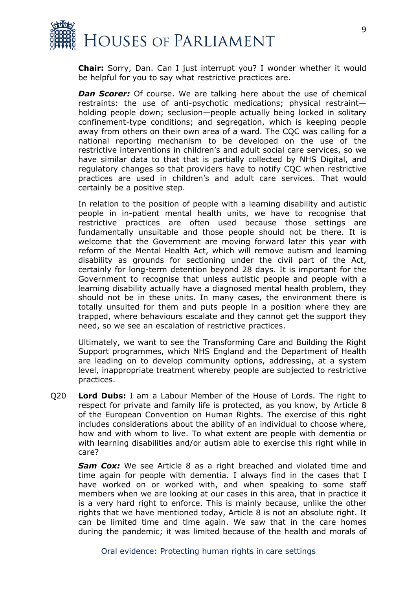

**Chair:** Sorry, Dan. Can I just interrupt you? I wonder whether it would be helpful for you to say what restrictive practices are.

*Dan Scorer:* Of course. We are talking here about the use of chemical restraints: the use of anti-psychotic medications; physical restraint holding people down; seclusion—people actually being locked in solitary confinement-type conditions; and segregation, which is keeping people away from others on their own area of a ward. The CQC was calling for a national reporting mechanism to be developed on the use of the restrictive interventions in children's and adult social care services, so we have similar data to that that is partially collected by NHS Digital, and regulatory changes so that providers have to notify CQC when restrictive practices are used in children's and adult care services. That would certainly be a positive step.

In relation to the position of people with a learning disability and autistic people in in-patient mental health units, we have to recognise that restrictive practices are often used because those settings are fundamentally unsuitable and those people should not be there. It is welcome that the Government are moving forward later this year with reform of the Mental Health Act, which will remove autism and learning disability as grounds for sectioning under the civil part of the Act, certainly for long-term detention beyond 28 days. It is important for the Government to recognise that unless autistic people and people with a learning disability actually have a diagnosed mental health problem, they should not be in these units. In many cases, the environment there is totally unsuited for them and puts people in a position where they are trapped, where behaviours escalate and they cannot get the support they need, so we see an escalation of restrictive practices.

Ultimately, we want to see the Transforming Care and Building the Right Support programmes, which NHS England and the Department of Health are leading on to develop community options, addressing, at a system level, inappropriate treatment whereby people are subjected to restrictive practices.

Q20 **Lord Dubs:** I am a Labour Member of the House of Lords. The right to respect for private and family life is protected, as you know, by Article 8 of the European Convention on Human Rights. The exercise of this right includes considerations about the ability of an individual to choose where, how and with whom to live. To what extent are people with dementia or with learning disabilities and/or autism able to exercise this right while in care?

*Sam Cox:* We see Article 8 as a right breached and violated time and time again for people with dementia. I always find in the cases that I have worked on or worked with, and when speaking to some staff members when we are looking at our cases in this area, that in practice it is a very hard right to enforce. This is mainly because, unlike the other rights that we have mentioned today, Article 8 is not an absolute right. It can be limited time and time again. We saw that in the care homes during the pandemic; it was limited because of the health and morals of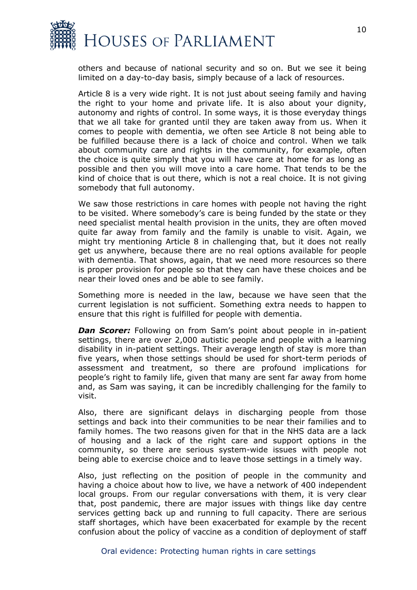

others and because of national security and so on. But we see it being limited on a day-to-day basis, simply because of a lack of resources.

Article 8 is a very wide right. It is not just about seeing family and having the right to your home and private life. It is also about your dignity, autonomy and rights of control. In some ways, it is those everyday things that we all take for granted until they are taken away from us. When it comes to people with dementia, we often see Article 8 not being able to be fulfilled because there is a lack of choice and control. When we talk about community care and rights in the community, for example, often the choice is quite simply that you will have care at home for as long as possible and then you will move into a care home. That tends to be the kind of choice that is out there, which is not a real choice. It is not giving somebody that full autonomy.

We saw those restrictions in care homes with people not having the right to be visited. Where somebody's care is being funded by the state or they need specialist mental health provision in the units, they are often moved quite far away from family and the family is unable to visit. Again, we might try mentioning Article 8 in challenging that, but it does not really get us anywhere, because there are no real options available for people with dementia. That shows, again, that we need more resources so there is proper provision for people so that they can have these choices and be near their loved ones and be able to see family.

Something more is needed in the law, because we have seen that the current legislation is not sufficient. Something extra needs to happen to ensure that this right is fulfilled for people with dementia.

*Dan Scorer:* Following on from Sam's point about people in in-patient settings, there are over 2,000 autistic people and people with a learning disability in in-patient settings. Their average length of stay is more than five years, when those settings should be used for short-term periods of assessment and treatment, so there are profound implications for people's right to family life, given that many are sent far away from home and, as Sam was saying, it can be incredibly challenging for the family to visit.

Also, there are significant delays in discharging people from those settings and back into their communities to be near their families and to family homes. The two reasons given for that in the NHS data are a lack of housing and a lack of the right care and support options in the community, so there are serious system-wide issues with people not being able to exercise choice and to leave those settings in a timely way.

Also, just reflecting on the position of people in the community and having a choice about how to live, we have a network of 400 independent local groups. From our regular conversations with them, it is very clear that, post pandemic, there are major issues with things like day centre services getting back up and running to full capacity. There are serious staff shortages, which have been exacerbated for example by the recent confusion about the policy of vaccine as a condition of deployment of staff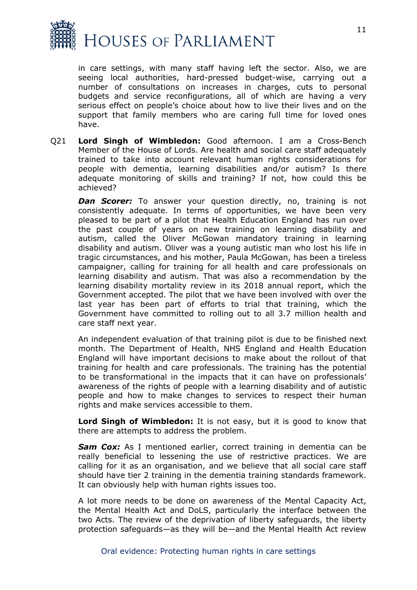

in care settings, with many staff having left the sector. Also, we are seeing local authorities, hard-pressed budget-wise, carrying out a number of consultations on increases in charges, cuts to personal budgets and service reconfigurations, all of which are having a very serious effect on people's choice about how to live their lives and on the support that family members who are caring full time for loved ones have.

Q21 **Lord Singh of Wimbledon:** Good afternoon. I am a Cross-Bench Member of the House of Lords. Are health and social care staff adequately trained to take into account relevant human rights considerations for people with dementia, learning disabilities and/or autism? Is there adequate monitoring of skills and training? If not, how could this be achieved?

**Dan Scorer:** To answer your question directly, no, training is not consistently adequate. In terms of opportunities, we have been very pleased to be part of a pilot that Health Education England has run over the past couple of years on new training on learning disability and autism, called the Oliver McGowan mandatory training in learning disability and autism. Oliver was a young autistic man who lost his life in tragic circumstances, and his mother, Paula McGowan, has been a tireless campaigner, calling for training for all health and care professionals on learning disability and autism. That was also a recommendation by the learning disability mortality review in its 2018 annual report, which the Government accepted. The pilot that we have been involved with over the last year has been part of efforts to trial that training, which the Government have committed to rolling out to all 3.7 million health and care staff next year.

An independent evaluation of that training pilot is due to be finished next month. The Department of Health, NHS England and Health Education England will have important decisions to make about the rollout of that training for health and care professionals. The training has the potential to be transformational in the impacts that it can have on professionals' awareness of the rights of people with a learning disability and of autistic people and how to make changes to services to respect their human rights and make services accessible to them.

**Lord Singh of Wimbledon:** It is not easy, but it is good to know that there are attempts to address the problem.

**Sam Cox:** As I mentioned earlier, correct training in dementia can be really beneficial to lessening the use of restrictive practices. We are calling for it as an organisation, and we believe that all social care staff should have tier 2 training in the dementia training standards framework. It can obviously help with human rights issues too.

A lot more needs to be done on awareness of the Mental Capacity Act, the Mental Health Act and DoLS, particularly the interface between the two Acts. The review of the deprivation of liberty safeguards, the liberty protection safeguards—as they will be—and the Mental Health Act review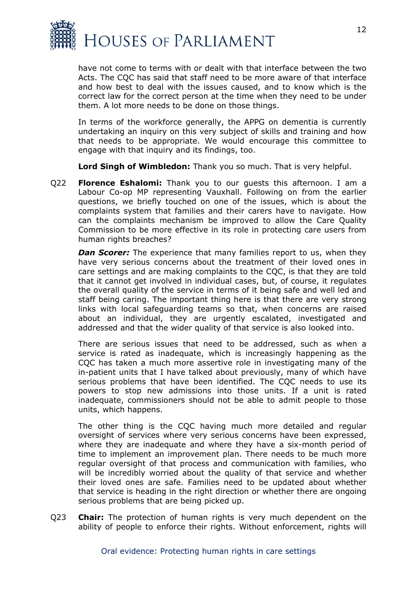

have not come to terms with or dealt with that interface between the two Acts. The CQC has said that staff need to be more aware of that interface and how best to deal with the issues caused, and to know which is the correct law for the correct person at the time when they need to be under them. A lot more needs to be done on those things.

In terms of the workforce generally, the APPG on dementia is currently undertaking an inquiry on this very subject of skills and training and how that needs to be appropriate. We would encourage this committee to engage with that inquiry and its findings, too.

**Lord Singh of Wimbledon:** Thank you so much. That is very helpful.

Q22 **Florence Eshalomi:** Thank you to our guests this afternoon. I am a Labour Co-op MP representing Vauxhall. Following on from the earlier questions, we briefly touched on one of the issues, which is about the complaints system that families and their carers have to navigate. How can the complaints mechanism be improved to allow the Care Quality Commission to be more effective in its role in protecting care users from human rights breaches?

*Dan Scorer:* The experience that many families report to us, when they have very serious concerns about the treatment of their loved ones in care settings and are making complaints to the CQC, is that they are told that it cannot get involved in individual cases, but, of course, it regulates the overall quality of the service in terms of it being safe and well led and staff being caring. The important thing here is that there are very strong links with local safeguarding teams so that, when concerns are raised about an individual, they are urgently escalated, investigated and addressed and that the wider quality of that service is also looked into.

There are serious issues that need to be addressed, such as when a service is rated as inadequate, which is increasingly happening as the CQC has taken a much more assertive role in investigating many of the in-patient units that I have talked about previously, many of which have serious problems that have been identified. The CQC needs to use its powers to stop new admissions into those units. If a unit is rated inadequate, commissioners should not be able to admit people to those units, which happens.

The other thing is the CQC having much more detailed and regular oversight of services where very serious concerns have been expressed, where they are inadequate and where they have a six-month period of time to implement an improvement plan. There needs to be much more regular oversight of that process and communication with families, who will be incredibly worried about the quality of that service and whether their loved ones are safe. Families need to be updated about whether that service is heading in the right direction or whether there are ongoing serious problems that are being picked up.

Q23 **Chair:** The protection of human rights is very much dependent on the ability of people to enforce their rights. Without enforcement, rights will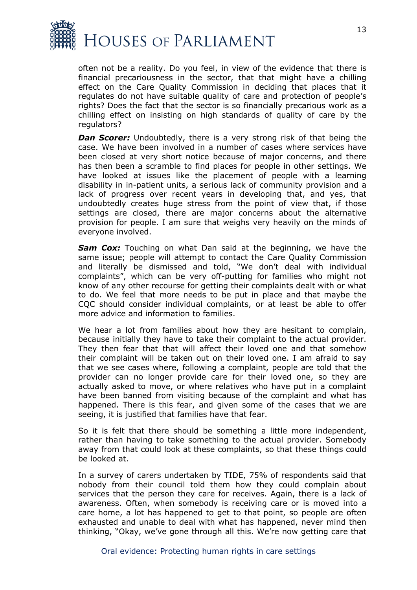

often not be a reality. Do you feel, in view of the evidence that there is financial precariousness in the sector, that that might have a chilling effect on the Care Quality Commission in deciding that places that it regulates do not have suitable quality of care and protection of people's rights? Does the fact that the sector is so financially precarious work as a chilling effect on insisting on high standards of quality of care by the regulators?

**Dan Scorer:** Undoubtedly, there is a very strong risk of that being the case. We have been involved in a number of cases where services have been closed at very short notice because of major concerns, and there has then been a scramble to find places for people in other settings. We have looked at issues like the placement of people with a learning disability in in-patient units, a serious lack of community provision and a lack of progress over recent years in developing that, and yes, that undoubtedly creates huge stress from the point of view that, if those settings are closed, there are major concerns about the alternative provision for people. I am sure that weighs very heavily on the minds of everyone involved.

*Sam Cox:* Touching on what Dan said at the beginning, we have the same issue; people will attempt to contact the Care Quality Commission and literally be dismissed and told, "We don't deal with individual complaints", which can be very off-putting for families who might not know of any other recourse for getting their complaints dealt with or what to do. We feel that more needs to be put in place and that maybe the CQC should consider individual complaints, or at least be able to offer more advice and information to families.

We hear a lot from families about how they are hesitant to complain, because initially they have to take their complaint to the actual provider. They then fear that that will affect their loved one and that somehow their complaint will be taken out on their loved one. I am afraid to say that we see cases where, following a complaint, people are told that the provider can no longer provide care for their loved one, so they are actually asked to move, or where relatives who have put in a complaint have been banned from visiting because of the complaint and what has happened. There is this fear, and given some of the cases that we are seeing, it is justified that families have that fear.

So it is felt that there should be something a little more independent, rather than having to take something to the actual provider. Somebody away from that could look at these complaints, so that these things could be looked at.

In a survey of carers undertaken by TIDE, 75% of respondents said that nobody from their council told them how they could complain about services that the person they care for receives. Again, there is a lack of awareness. Often, when somebody is receiving care or is moved into a care home, a lot has happened to get to that point, so people are often exhausted and unable to deal with what has happened, never mind then thinking, "Okay, we've gone through all this. We're now getting care that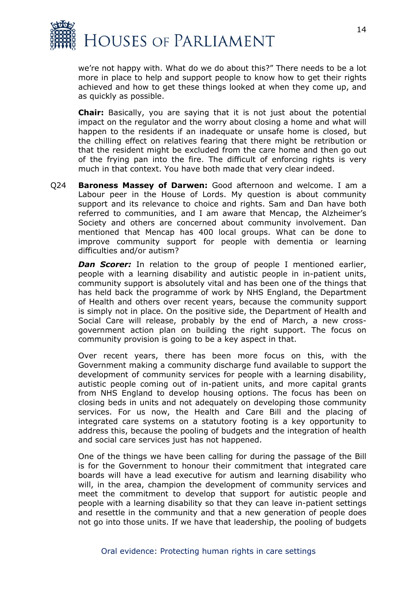

we're not happy with. What do we do about this?" There needs to be a lot more in place to help and support people to know how to get their rights achieved and how to get these things looked at when they come up, and as quickly as possible.

**Chair:** Basically, you are saying that it is not just about the potential impact on the regulator and the worry about closing a home and what will happen to the residents if an inadequate or unsafe home is closed, but the chilling effect on relatives fearing that there might be retribution or that the resident might be excluded from the care home and then go out of the frying pan into the fire. The difficult of enforcing rights is very much in that context. You have both made that very clear indeed.

Q24 **Baroness Massey of Darwen:** Good afternoon and welcome. I am a Labour peer in the House of Lords. My question is about community support and its relevance to choice and rights. Sam and Dan have both referred to communities, and I am aware that Mencap, the Alzheimer's Society and others are concerned about community involvement. Dan mentioned that Mencap has 400 local groups. What can be done to improve community support for people with dementia or learning difficulties and/or autism?

*Dan Scorer:* In relation to the group of people I mentioned earlier, people with a learning disability and autistic people in in-patient units, community support is absolutely vital and has been one of the things that has held back the programme of work by NHS England, the Department of Health and others over recent years, because the community support is simply not in place. On the positive side, the Department of Health and Social Care will release, probably by the end of March, a new crossgovernment action plan on building the right support. The focus on community provision is going to be a key aspect in that.

Over recent years, there has been more focus on this, with the Government making a community discharge fund available to support the development of community services for people with a learning disability, autistic people coming out of in-patient units, and more capital grants from NHS England to develop housing options. The focus has been on closing beds in units and not adequately on developing those community services. For us now, the Health and Care Bill and the placing of integrated care systems on a statutory footing is a key opportunity to address this, because the pooling of budgets and the integration of health and social care services just has not happened.

One of the things we have been calling for during the passage of the Bill is for the Government to honour their commitment that integrated care boards will have a lead executive for autism and learning disability who will, in the area, champion the development of community services and meet the commitment to develop that support for autistic people and people with a learning disability so that they can leave in-patient settings and resettle in the community and that a new generation of people does not go into those units. If we have that leadership, the pooling of budgets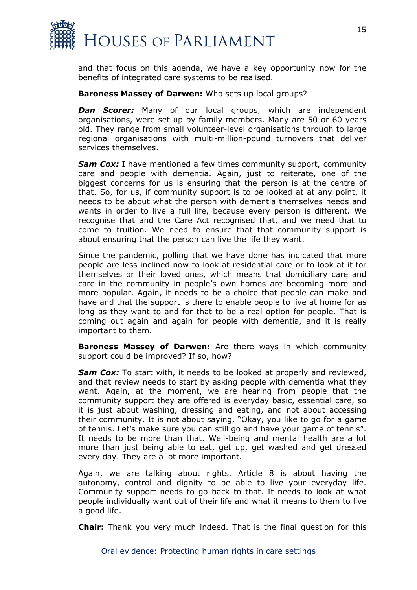

and that focus on this agenda, we have a key opportunity now for the benefits of integrated care systems to be realised.

#### **Baroness Massey of Darwen:** Who sets up local groups?

**Dan Scorer:** Many of our local groups, which are independent organisations, were set up by family members. Many are 50 or 60 years old. They range from small volunteer-level organisations through to large regional organisations with multi-million-pound turnovers that deliver services themselves.

**Sam Cox:** I have mentioned a few times community support, community care and people with dementia. Again, just to reiterate, one of the biggest concerns for us is ensuring that the person is at the centre of that. So, for us, if community support is to be looked at at any point, it needs to be about what the person with dementia themselves needs and wants in order to live a full life, because every person is different. We recognise that and the Care Act recognised that, and we need that to come to fruition. We need to ensure that that community support is about ensuring that the person can live the life they want.

Since the pandemic, polling that we have done has indicated that more people are less inclined now to look at residential care or to look at it for themselves or their loved ones, which means that domiciliary care and care in the community in people's own homes are becoming more and more popular. Again, it needs to be a choice that people can make and have and that the support is there to enable people to live at home for as long as they want to and for that to be a real option for people. That is coming out again and again for people with dementia, and it is really important to them.

**Baroness Massey of Darwen:** Are there ways in which community support could be improved? If so, how?

*Sam Cox:* To start with, it needs to be looked at properly and reviewed, and that review needs to start by asking people with dementia what they want. Again, at the moment, we are hearing from people that the community support they are offered is everyday basic, essential care, so it is just about washing, dressing and eating, and not about accessing their community. It is not about saying, "Okay, you like to go for a game of tennis. Let's make sure you can still go and have your game of tennis". It needs to be more than that. Well-being and mental health are a lot more than just being able to eat, get up, get washed and get dressed every day. They are a lot more important.

Again, we are talking about rights. Article 8 is about having the autonomy, control and dignity to be able to live your everyday life. Community support needs to go back to that. It needs to look at what people individually want out of their life and what it means to them to live a good life.

**Chair:** Thank you very much indeed. That is the final question for this